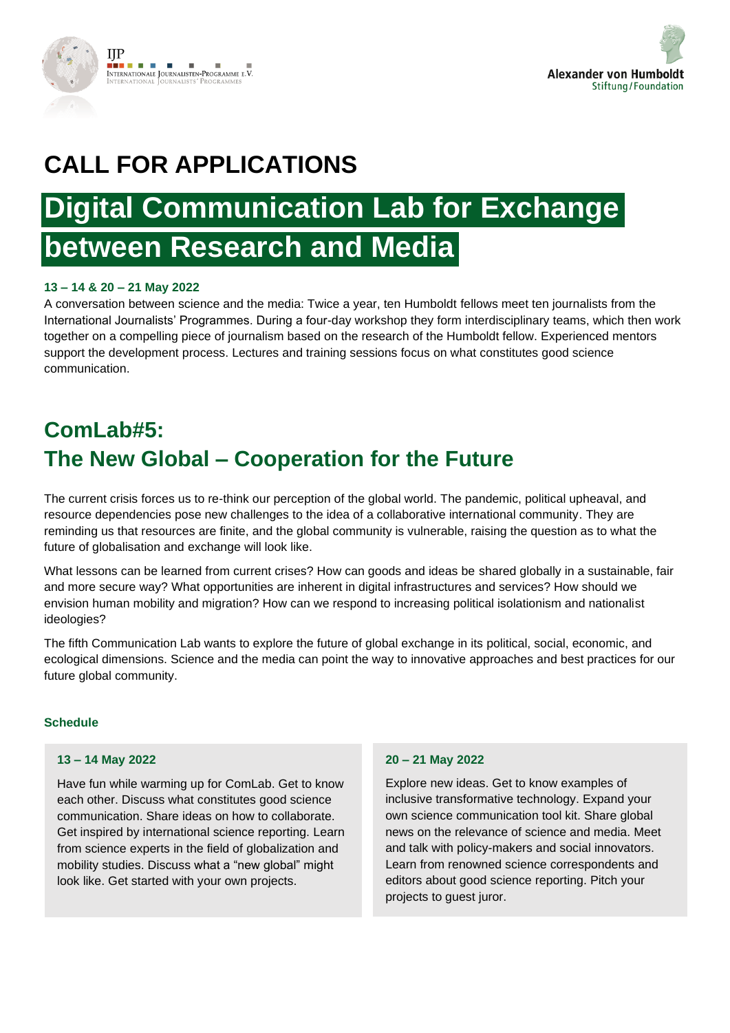



## **CALL FOR APPLICATIONS**

# **Digital Communication Lab for Exchange between Research and Media**

#### **13 – 14 & 20 – 21 May 2022**

A conversation between science and the media: Twice a year, ten Humboldt fellows meet ten journalists from the International Journalists' Programmes. During a four-day workshop they form interdisciplinary teams, which then work together on a compelling piece of journalism based on the research of the Humboldt fellow. Experienced mentors support the development process. Lectures and training sessions focus on what constitutes good science communication.

## **ComLab#5: The New Global – Cooperation for the Future**

The current crisis forces us to re-think our perception of the global world. The pandemic, political upheaval, and resource dependencies pose new challenges to the idea of a collaborative international community. They are reminding us that resources are finite, and the global community is vulnerable, raising the question as to what the future of globalisation and exchange will look like.

What lessons can be learned from current crises? How can goods and ideas be shared globally in a sustainable, fair and more secure way? What opportunities are inherent in digital infrastructures and services? How should we envision human mobility and migration? How can we respond to increasing political isolationism and nationalist ideologies?

The fifth Communication Lab wants to explore the future of global exchange in its political, social, economic, and ecological dimensions. Science and the media can point the way to innovative approaches and best practices for our future global community.

#### **Schedule**

#### **13 – 14 May 2022**

Have fun while warming up for ComLab. Get to know each other. Discuss what constitutes good science communication. Share ideas on how to collaborate. Get inspired by international science reporting. Learn from science experts in the field of globalization and mobility studies. Discuss what a "new global" might look like. Get started with your own projects.

#### **20 – 21 May 2022**

Explore new ideas. Get to know examples of inclusive transformative technology. Expand your own science communication tool kit. Share global news on the relevance of science and media. Meet and talk with policy-makers and social innovators. Learn from renowned science correspondents and editors about good science reporting. Pitch your projects to guest juror.